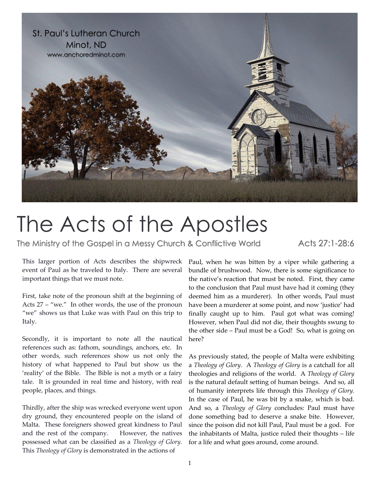

## The Acts of the Apostles

The Ministry of the Gospel in a Messy Church & Conflictive World Acts 27:1-28:6

This larger portion of Acts describes the shipwreck event of Paul as he traveled to Italy. There are several important things that we must note.

First, take note of the pronoun shift at the beginning of Acts 27 – "we." In other words, the use of the pronoun "we" shows us that Luke was with Paul on this trip to Italy.

Secondly, it is important to note all the nautical references such as: fathom, soundings, anchors, etc. In other words, such references show us not only the history of what happened to Paul but show us the 'reality' of the Bible. The Bible is not a myth or a fairy tale. It is grounded in real time and history, with real people, places, and things.

Thirdly, after the ship was wrecked everyone went upon dry ground, they encountered people on the island of Malta. These foreigners showed great kindness to Paul and the rest of the company. However, the natives possessed what can be classified as a *Theology of Glory.* This *Theology of Glory* is demonstrated in the actions of

Paul, when he was bitten by a viper while gathering a bundle of brushwood. Now, there is some significance to the native's reaction that must be noted. First, they came to the conclusion that Paul must have had it coming (they deemed him as a murderer). In other words, Paul must have been a murderer at some point, and now 'justice' had finally caught up to him. Paul got what was coming! However, when Paul did not die, their thoughts swung to the other side – Paul must be a God! So, what is going on here?

As previously stated, the people of Malta were exhibiting a *Theology of Glory.* A *Theology of Glory* is a catchall for all theologies and religions of the world. A *Theology of Glory* is the natural default setting of human beings. And so, all of humanity interprets life through this *Theology of Glory.* In the case of Paul, he was bit by a snake, which is bad. And so, a *Theology of Glory* concludes: Paul must have done something bad to deserve a snake bite. However, since the poison did not kill Paul, Paul must be a god. For the inhabitants of Malta, justice ruled their thoughts – life for a life and what goes around, come around.